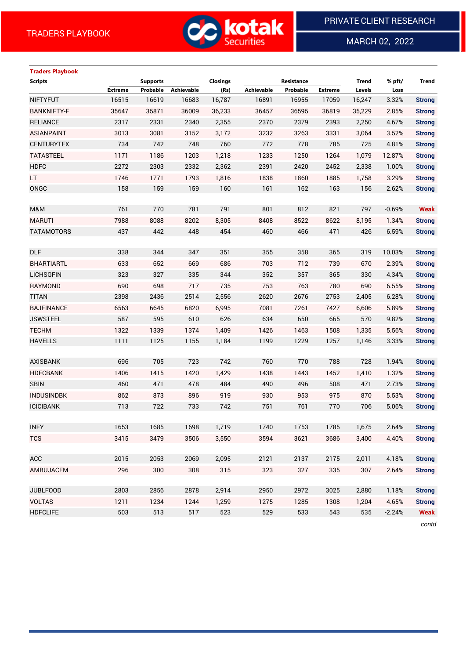

MARCH 02, 2022

 $\overline{a}$ 

# **Traders Playbook Scripts Supports Closings Resistance Trend % pft/ Trend Extreme Probable Achievable (Rs) Achievable Probable Extreme Levels Loss** NIFTYFUT 16515 16619 16683 16,787 16891 16955 17059 16,247 3.32% **Strong** BANKNIFTY-F 35647 35871 36009 36,233 36457 36595 36819 35,229 2.85% **Strong** RELIANCE 2317 2331 2340 2,355 2370 2379 2393 2,250 4.67% **Strong** ASIANPAINT 3013 3081 3152 3,172 3232 3263 3331 3,064 3.52% **Strong** CENTURYTEX 734 742 748 760 772 778 785 725 4.81% **Strong** TATASTEEL 1171 1186 1203 1,218 1233 1250 1264 1,079 12.87% **Strong** HDFC 2272 2303 2332 2,362 2391 2420 2452 2,338 1.00% **Strong** LT 1746 1771 1793 1,816 1838 1860 1885 1,758 3.29% **Strong** ONGC 158 159 159 160 161 162 163 156 2.62% **Strong** M&M 761 770 781 791 801 812 821 797 -0.69% **Weak** MARUTI 7988 8088 8202 8,305 8408 8522 8622 8,195 1.34% **Strong** TATAMOTORS 437 442 448 454 460 466 471 426 6.59% **Strong** DLF 338 344 347 351 355 358 365 319 10.03% **Strong** BHARTIARTL 633 652 669 686 703 712 739 670 2.39% **Strong** LICHSGFIN 323 327 335 344 352 357 365 330 4.34% **Strong** RAYMOND 690 698 717 735 753 763 780 690 6.55% **Strong** TITAN 2398 2436 2514 2,556 2620 2676 2753 2,405 6.28% **Strong** BAJFINANCE 6563 6645 6820 6,995 7081 7261 7427 6,606 5.89% **Strong** JSWSTEEL 587 595 610 626 634 650 665 570 9.82% **Strong** TECHM 1322 1339 1374 1,409 1426 1463 1508 1,335 5.56% **Strong** HAVELLS 1111 1125 1155 1,184 1199 1229 1257 1,146 3.33% **Strong** AXISBANK 696 705 723 742 760 770 788 728 1.94% **Strong** HDFCBANK 1406 1415 1420 1,429 1438 1443 1452 1,410 1.32% **Strong** SBIN 460 471 478 484 490 496 508 471 2.73% **Strong** INDUSINDBK 862 873 896 919 930 953 975 870 5.53% **Strong** ICICIBANK 713 722 733 742 751 761 770 706 5.06% **Strong** INFY 1653 1685 1698 1,719 1740 1753 1785 1,675 2.64% **Strong** TCS 3415 3479 3506 3,550 3594 3621 3686 3,400 4.40% **Strong** ACC 2015 2053 2069 2,095 2121 2137 2175 2,011 4.18% **Strong** AMBUJACEM 296 300 308 315 323 327 335 307 2.64% **Strong** JUBLFOOD 2803 2856 2878 2,914 2950 2972 3025 2,880 1.18% **Strong** VOLTAS 1211 1234 1244 1,259 1275 1285 1308 1,204 4.65% **Strong** HDFCLIFE 503 513 517 523 529 533 543 535 -2.24% **Weak**

*contd*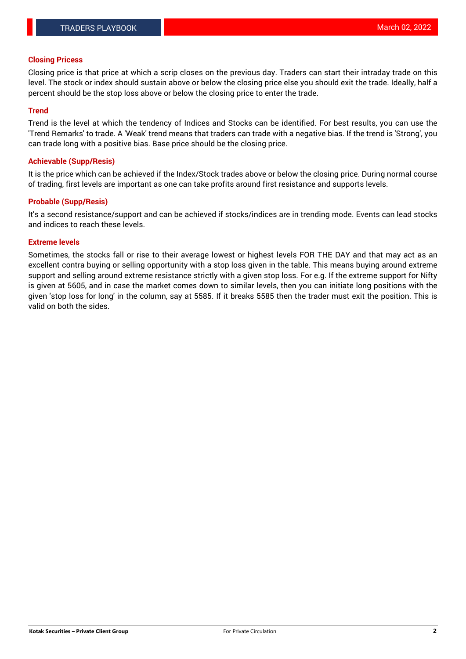#### **Closing Pricess**

Closing price is that price at which a scrip closes on the previous day. Traders can start their intraday trade on this level. The stock or index should sustain above or below the closing price else you should exit the trade. Ideally, half a percent should be the stop loss above or below the closing price to enter the trade.

#### **Trend**

Trend is the level at which the tendency of Indices and Stocks can be identified. For best results, you can use the 'Trend Remarks' to trade. A 'Weak' trend means that traders can trade with a negative bias. If the trend is 'Strong', you can trade long with a positive bias. Base price should be the closing price.

#### **Achievable (Supp/Resis)**

It is the price which can be achieved if the Index/Stock trades above or below the closing price. During normal course of trading, first levels are important as one can take profits around first resistance and supports levels.

### **Probable (Supp/Resis)**

It's a second resistance/support and can be achieved if stocks/indices are in trending mode. Events can lead stocks and indices to reach these levels.

### **Extreme levels**

Sometimes, the stocks fall or rise to their average lowest or highest levels FOR THE DAY and that may act as an excellent contra buying or selling opportunity with a stop loss given in the table. This means buying around extreme support and selling around extreme resistance strictly with a given stop loss. For e.g. If the extreme support for Nifty is given at 5605, and in case the market comes down to similar levels, then you can initiate long positions with the given 'stop loss for long' in the column, say at 5585. If it breaks 5585 then the trader must exit the position. This is valid on both the sides.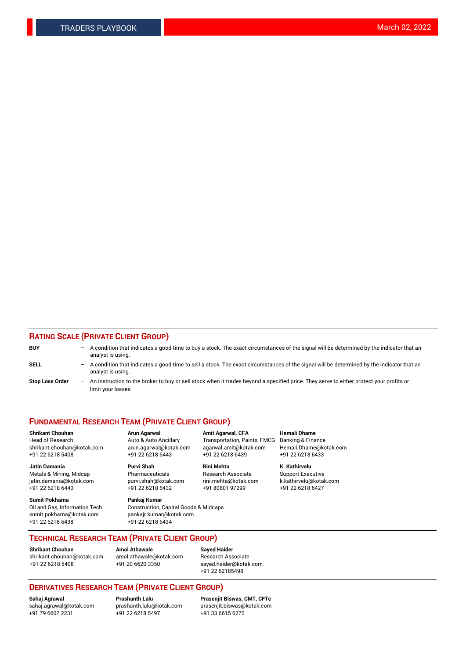### **RATING SCALE (PRIVATE CLIENT GROUP)**

| <b>BUY</b>             | $-$ | A condition that indicates a good time to buy a stock. The exact circumstances of the signal will be determined by the indicator that an<br>analyst is using.    |
|------------------------|-----|------------------------------------------------------------------------------------------------------------------------------------------------------------------|
| <b>SELL</b>            |     | - A condition that indicates a good time to sell a stock. The exact circumstances of the signal will be determined by the indicator that an<br>analyst is using. |
| <b>Stop Loss Order</b> |     | - An instruction to the broker to buy or sell stock when it trades beyond a specified price. They serve to either protect your profits or<br>limit your losses.  |

#### **FUNDAMENTAL RESEARCH TEAM (PRIVATE CLIENT GROUP)**

**Shrikant Chouhan Arun Agarwal Amit Agarwal, CFA Hemali Dhame** Head of Research Auto & Auto Ancillary Transportation, Paints, FMCG Banking & Finance shrikant.chouhan@kotak.com arun.agarwal@kotak.com agarwal.amit@kotak.com Hemali.Dhame@kotak.com

**Jatin Damania Purvi Shah Rini Mehta K. Kathirvelu** Metals & Mining, Midcap **Pharmaceuticals** Research Associate Support Executive jatin.damania@kotak.com [purvi.shah@kotak.com](mailto:purvi.shah@kotak.com) rini.mehta@kotak.com [k.kathirvelu@kotak.com](mailto:k.kathirvelu@kotak.com)  $+91$  22 6218 6440  $+91$  22 6218 6432

**Sumit Pokharna Pankaj Kumar** sumit.pokharna@kotak.com pankajr.kumar@kotak.com +91 22 6218 6438 +91 22 6218 6434

Oil and Gas, Information Tech Construction, Capital Goods & Midcaps

+91 22 6218 5408 +91 22 6218 6443 +91 22 6218 6439 +91 22 6218 6433

**TECHNICAL RESEARCH TEAM (PRIVATE CLIENT GROUP)**

[shrikant.chouhan@kotak.com](mailto:shrikant.chouhan@kotak.com) [amol.athawale@kotak.com](mailto:amol.athawale@kotak.com) Research Associate +91 22 6218 5408 +91 20 6620 3350 [sayed.haider@kotak.com](mailto:sayed.haider@kotak.com)

**Shrikant Chouhan Amol Athawale Sayed Haider**

+91 22 62185498

## **DERIVATIVES RESEARCH TEAM (PRIVATE CLIENT GROUP)**

 $+91$  22 6218 5497

**Sahaj Agrawal Prashanth Lalu Prasenjit Biswas, CMT, CFTe** [sahaj.agrawal@kotak.com](mailto:sahaj.agrawal@kotak.com) [prashanth.lalu@kotak.com](mailto:prashanth.lalu@kotak.com) [prasenjit.biswas@kotak.com](mailto:prasenjit.biswas@kotak.com)